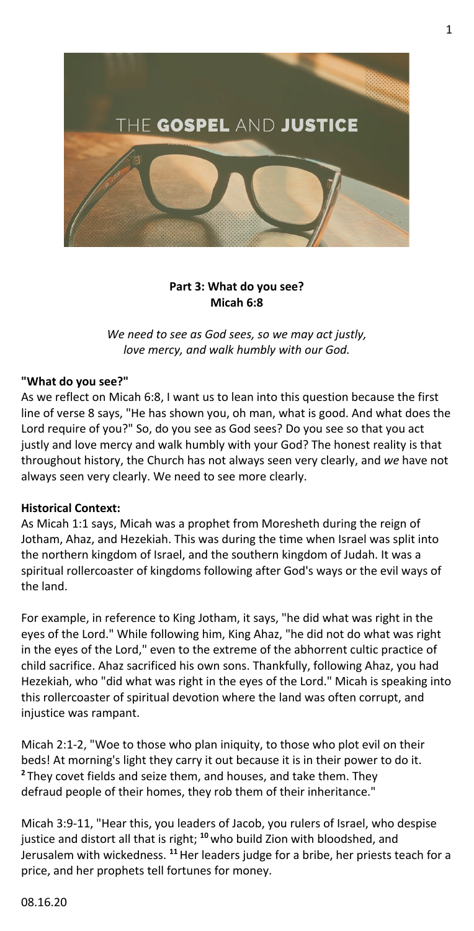

### **Part 3: What do you see? Micah 6:8**

*We need to see as God sees, so we may act justly, love mercy, and walk humbly with our God.*

# **"What do you see?"**

As we reflect on Micah 6:8, I want us to lean into this question because the first line of verse 8 says, "He has shown you, oh man, what is good. And what does the Lord require of you?" So, do you see as God sees? Do you see so that you act justly and love mercy and walk humbly with your God? The honest reality is that throughout history, the Church has not always seen very clearly, and *we* have not always seen very clearly. We need to see more clearly.

#### **Historical Context:**

As Micah 1:1 says, Micah was a prophet from Moresheth during the reign of Jotham, Ahaz, and Hezekiah. This was during the time when Israel was split into the northern kingdom of Israel, and the southern kingdom of Judah. It was a spiritual rollercoaster of kingdoms following after God's ways or the evil ways of the land.

For example, in reference to King Jotham, it says, "he did what was right in the eyes of the Lord." While following him, King Ahaz, "he did not do what was right in the eyes of the Lord," even to the extreme of the abhorrent cultic practice of child sacrifice. Ahaz sacrificed his own sons. Thankfully, following Ahaz, you had Hezekiah, who "did what was right in the eyes of the Lord." Micah is speaking into this rollercoaster of spiritual devotion where the land was often corrupt, and injustice was rampant.

Micah 2:1-2, "Woe to those who plan iniquity, to those who plot evil on their beds! At morning's light they carry it out because it is in their power to do it. **<sup>2</sup>** They covet fields and seize them, and houses, and take them. They defraud people of their homes, they rob them of their inheritance."

Micah 3:9-11, "Hear this, you leaders of Jacob, you rulers of Israel, who despise justice and distort all that is right; **<sup>10</sup>** who build Zion with bloodshed, and Jerusalem with wickedness. **<sup>11</sup>**Her leaders judge for a bribe, her priests teach for a price, and her prophets tell fortunes for money.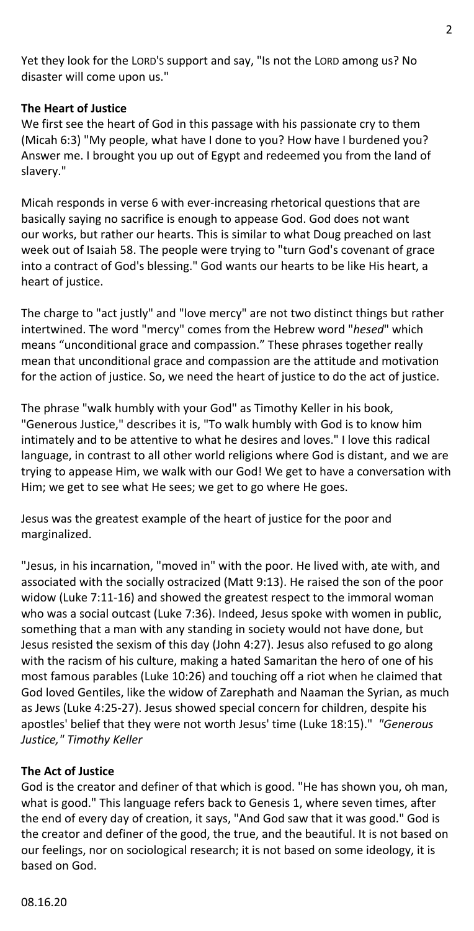Yet they look for the LORD'S support and say, "Is not the LORD among us? No disaster will come upon us."

# **The Heart of Justice**

We first see the heart of God in this passage with his passionate cry to them (Micah 6:3) "My people, what have I done to you? How have I burdened you? Answer me. I brought you up out of Egypt and redeemed you from the land of slavery."

Micah responds in verse 6 with ever-increasing rhetorical questions that are basically saying no sacrifice is enough to appease God. God does not want our works, but rather our hearts. This is similar to what Doug preached on last week out of Isaiah 58. The people were trying to "turn God's covenant of grace into a contract of God's blessing." God wants our hearts to be like His heart, a heart of justice.

The charge to "act justly" and "love mercy" are not two distinct things but rather intertwined. The word "mercy" comes from the Hebrew word "*hesed*" which means "unconditional grace and compassion." These phrases together really mean that unconditional grace and compassion are the attitude and motivation for the action of justice. So, we need the heart of justice to do the act of justice.

The phrase "walk humbly with your God" as Timothy Keller in his book, "Generous Justice," describes it is, "To walk humbly with God is to know him intimately and to be attentive to what he desires and loves." I love this radical language, in contrast to all other world religions where God is distant, and we are trying to appease Him, we walk with our God! We get to have a conversation with Him; we get to see what He sees; we get to go where He goes.

Jesus was the greatest example of the heart of justice for the poor and marginalized.

"Jesus, in his incarnation, "moved in" with the poor. He lived with, ate with, and associated with the socially ostracized (Matt 9:13). He raised the son of the poor widow (Luke 7:11-16) and showed the greatest respect to the immoral woman who was a social outcast (Luke 7:36). Indeed, Jesus spoke with women in public, something that a man with any standing in society would not have done, but Jesus resisted the sexism of this day (John 4:27). Jesus also refused to go along with the racism of his culture, making a hated Samaritan the hero of one of his most famous parables (Luke 10:26) and touching off a riot when he claimed that God loved Gentiles, like the widow of Zarephath and Naaman the Syrian, as much as Jews (Luke 4:25-27). Jesus showed special concern for children, despite his apostles' belief that they were not worth Jesus' time (Luke 18:15)." *"Generous Justice," Timothy Keller*

# **The Act of Justice**

God is the creator and definer of that which is good. "He has shown you, oh man, what is good." This language refers back to Genesis 1, where seven times, after the end of every day of creation, it says, "And God saw that it was good." God is the creator and definer of the good, the true, and the beautiful. It is not based on our feelings, nor on sociological research; it is not based on some ideology, it is based on God.